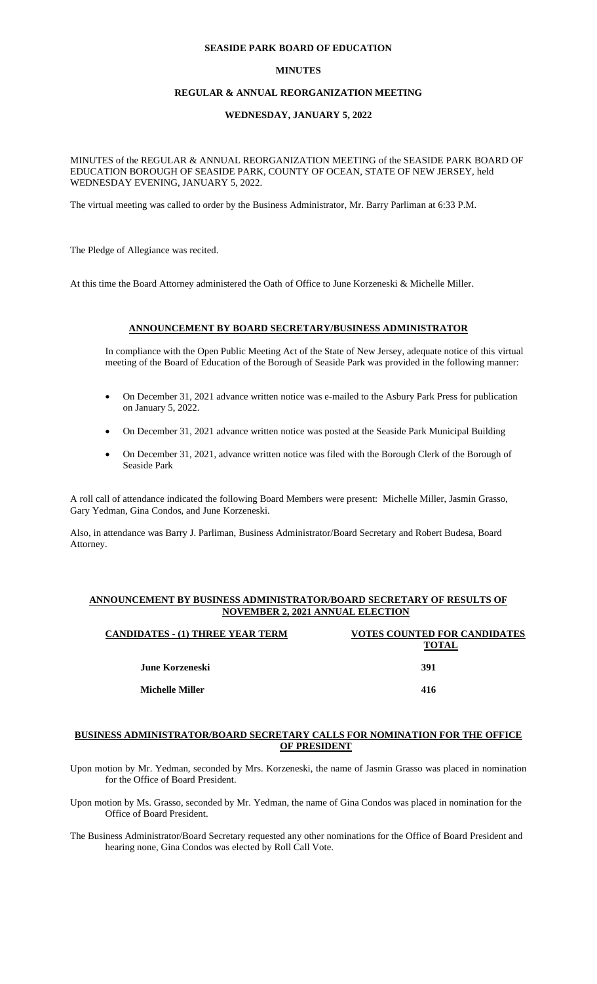#### **SEASIDE PARK BOARD OF EDUCATION**

#### **MINUTES**

## **REGULAR & ANNUAL REORGANIZATION MEETING**

## **WEDNESDAY, JANUARY 5, 2022**

MINUTES of the REGULAR & ANNUAL REORGANIZATION MEETING of the SEASIDE PARK BOARD OF EDUCATION BOROUGH OF SEASIDE PARK, COUNTY OF OCEAN, STATE OF NEW JERSEY, held WEDNESDAY EVENING, JANUARY 5, 2022.

The virtual meeting was called to order by the Business Administrator, Mr. Barry Parliman at 6:33 P.M.

The Pledge of Allegiance was recited.

At this time the Board Attorney administered the Oath of Office to June Korzeneski & Michelle Miller.

#### **ANNOUNCEMENT BY BOARD SECRETARY/BUSINESS ADMINISTRATOR**

In compliance with the Open Public Meeting Act of the State of New Jersey, adequate notice of this virtual meeting of the Board of Education of the Borough of Seaside Park was provided in the following manner:

- On December 31, 2021 advance written notice was e-mailed to the Asbury Park Press for publication on January 5, 2022.
- On December 31, 2021 advance written notice was posted at the Seaside Park Municipal Building
- On December 31, 2021, advance written notice was filed with the Borough Clerk of the Borough of Seaside Park

A roll call of attendance indicated the following Board Members were present: Michelle Miller, Jasmin Grasso, Gary Yedman, Gina Condos, and June Korzeneski.

Also, in attendance was Barry J. Parliman, Business Administrator/Board Secretary and Robert Budesa, Board Attorney.

#### **ANNOUNCEMENT BY BUSINESS ADMINISTRATOR/BOARD SECRETARY OF RESULTS OF NOVEMBER 2, 2021 ANNUAL ELECTION**

| <b>VOTES COUNTED FOR CANDIDATES</b><br><b>TOTAL</b> |
|-----------------------------------------------------|
| 391                                                 |
| 416                                                 |
|                                                     |

## **BUSINESS ADMINISTRATOR/BOARD SECRETARY CALLS FOR NOMINATION FOR THE OFFICE OF PRESIDENT**

- Upon motion by Mr. Yedman, seconded by Mrs. Korzeneski, the name of Jasmin Grasso was placed in nomination for the Office of Board President.
- Upon motion by Ms. Grasso, seconded by Mr. Yedman, the name of Gina Condos was placed in nomination for the Office of Board President.

The Business Administrator/Board Secretary requested any other nominations for the Office of Board President and hearing none, Gina Condos was elected by Roll Call Vote.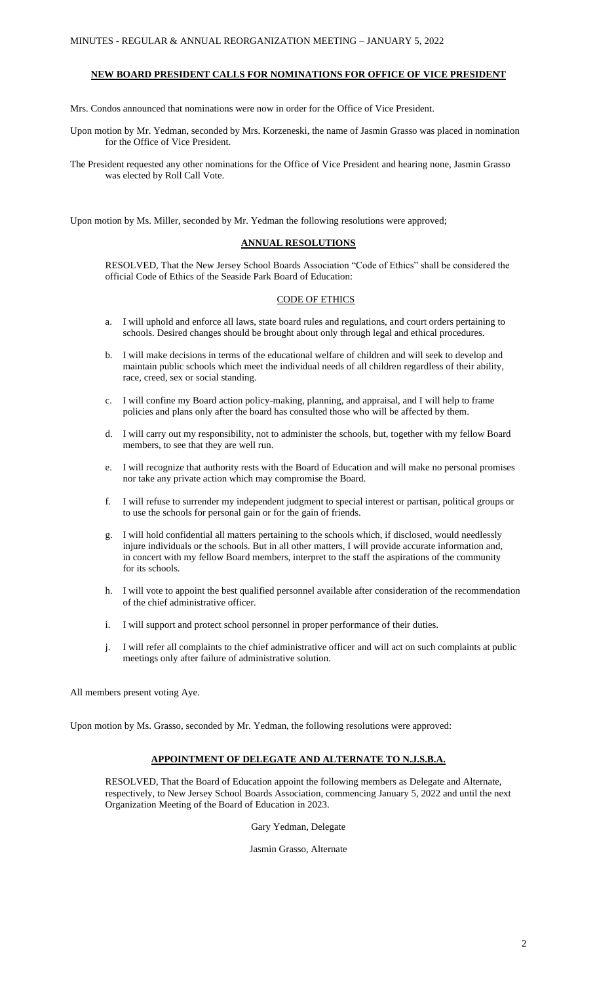## **NEW BOARD PRESIDENT CALLS FOR NOMINATIONS FOR OFFICE OF VICE PRESIDENT**

Mrs. Condos announced that nominations were now in order for the Office of Vice President.

Upon motion by Mr. Yedman, seconded by Mrs. Korzeneski, the name of Jasmin Grasso was placed in nomination for the Office of Vice President.

The President requested any other nominations for the Office of Vice President and hearing none, Jasmin Grasso was elected by Roll Call Vote.

Upon motion by Ms. Miller, seconded by Mr. Yedman the following resolutions were approved;

#### **ANNUAL RESOLUTIONS**

RESOLVED, That the New Jersey School Boards Association "Code of Ethics" shall be considered the official Code of Ethics of the Seaside Park Board of Education:

#### CODE OF ETHICS

- a. I will uphold and enforce all laws, state board rules and regulations, and court orders pertaining to schools. Desired changes should be brought about only through legal and ethical procedures.
- b. I will make decisions in terms of the educational welfare of children and will seek to develop and maintain public schools which meet the individual needs of all children regardless of their ability, race, creed, sex or social standing.
- c. I will confine my Board action policy-making, planning, and appraisal, and I will help to frame policies and plans only after the board has consulted those who will be affected by them.
- d. I will carry out my responsibility, not to administer the schools, but, together with my fellow Board members, to see that they are well run.
- e. I will recognize that authority rests with the Board of Education and will make no personal promises nor take any private action which may compromise the Board.
- f. I will refuse to surrender my independent judgment to special interest or partisan, political groups or to use the schools for personal gain or for the gain of friends.
- g. I will hold confidential all matters pertaining to the schools which, if disclosed, would needlessly injure individuals or the schools. But in all other matters, I will provide accurate information and, in concert with my fellow Board members, interpret to the staff the aspirations of the community for its schools.
- h. I will vote to appoint the best qualified personnel available after consideration of the recommendation of the chief administrative officer.
- i. I will support and protect school personnel in proper performance of their duties.
- j. I will refer all complaints to the chief administrative officer and will act on such complaints at public meetings only after failure of administrative solution.

All members present voting Aye.

Upon motion by Ms. Grasso, seconded by Mr. Yedman, the following resolutions were approved:

#### **APPOINTMENT OF DELEGATE AND ALTERNATE TO N.J.S.B.A.**

RESOLVED, That the Board of Education appoint the following members as Delegate and Alternate, respectively, to New Jersey School Boards Association, commencing January 5, 2022 and until the next Organization Meeting of the Board of Education in 2023.

Gary Yedman, Delegate

Jasmin Grasso, Alternate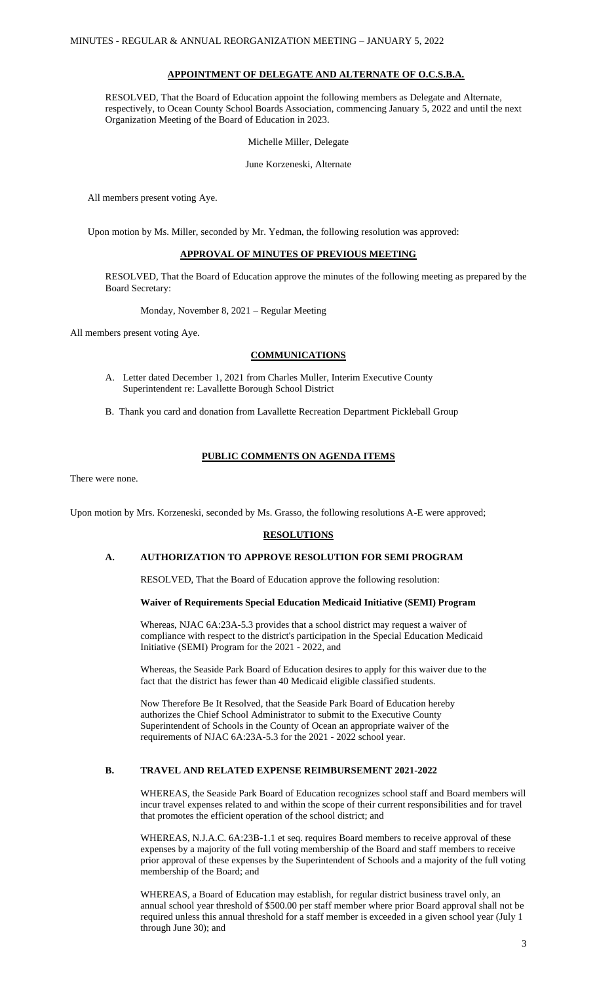#### **APPOINTMENT OF DELEGATE AND ALTERNATE OF O.C.S.B.A.**

RESOLVED, That the Board of Education appoint the following members as Delegate and Alternate, respectively, to Ocean County School Boards Association, commencing January 5, 2022 and until the next Organization Meeting of the Board of Education in 2023.

Michelle Miller, Delegate

June Korzeneski, Alternate

All members present voting Aye.

Upon motion by Ms. Miller, seconded by Mr. Yedman, the following resolution was approved:

## **APPROVAL OF MINUTES OF PREVIOUS MEETING**

RESOLVED, That the Board of Education approve the minutes of the following meeting as prepared by the Board Secretary:

Monday, November 8, 2021 – Regular Meeting

All members present voting Aye.

## **COMMUNICATIONS**

- A. Letter dated December 1, 2021 from Charles Muller, Interim Executive County Superintendent re: Lavallette Borough School District
- B. Thank you card and donation from Lavallette Recreation Department Pickleball Group

## **PUBLIC COMMENTS ON AGENDA ITEMS**

There were none.

Upon motion by Mrs. Korzeneski, seconded by Ms. Grasso, the following resolutions A-E were approved;

### **RESOLUTIONS**

## **A. AUTHORIZATION TO APPROVE RESOLUTION FOR SEMI PROGRAM**

RESOLVED, That the Board of Education approve the following resolution:

#### **Waiver of Requirements Special Education Medicaid Initiative (SEMI) Program**

Whereas, NJAC 6A:23A-5.3 provides that a school district may request a waiver of compliance with respect to the district's participation in the Special Education Medicaid Initiative (SEMI) Program for the 2021 - 2022, and

Whereas, the Seaside Park Board of Education desires to apply for this waiver due to the fact that the district has fewer than 40 Medicaid eligible classified students.

Now Therefore Be It Resolved, that the Seaside Park Board of Education hereby authorizes the Chief School Administrator to submit to the Executive County Superintendent of Schools in the County of Ocean an appropriate waiver of the requirements of NJAC 6A:23A-5.3 for the 2021 - 2022 school year.

#### **B. TRAVEL AND RELATED EXPENSE REIMBURSEMENT 2021-2022**

WHEREAS, the Seaside Park Board of Education recognizes school staff and Board members will incur travel expenses related to and within the scope of their current responsibilities and for travel that promotes the efficient operation of the school district; and

WHEREAS, N.J.A.C. 6A:23B-1.1 et seq. requires Board members to receive approval of these expenses by a majority of the full voting membership of the Board and staff members to receive prior approval of these expenses by the Superintendent of Schools and a majority of the full voting membership of the Board; and

WHEREAS, a Board of Education may establish, for regular district business travel only, an annual school year threshold of \$500.00 per staff member where prior Board approval shall not be required unless this annual threshold for a staff member is exceeded in a given school year (July 1 through June 30); and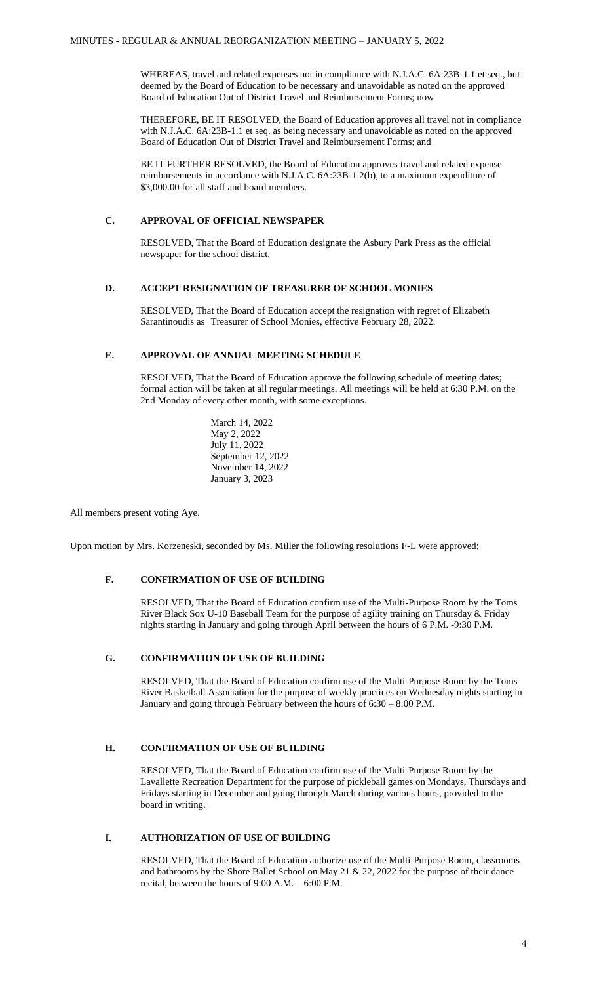WHEREAS, travel and related expenses not in compliance with N.J.A.C. 6A:23B-1.1 et seq., but deemed by the Board of Education to be necessary and unavoidable as noted on the approved Board of Education Out of District Travel and Reimbursement Forms; now

THEREFORE, BE IT RESOLVED, the Board of Education approves all travel not in compliance with N.J.A.C. 6A:23B-1.1 et seq. as being necessary and unavoidable as noted on the approved Board of Education Out of District Travel and Reimbursement Forms; and

BE IT FURTHER RESOLVED, the Board of Education approves travel and related expense reimbursements in accordance with N.J.A.C. 6A:23B-1.2(b), to a maximum expenditure of \$3,000.00 for all staff and board members.

## **C. APPROVAL OF OFFICIAL NEWSPAPER**

RESOLVED, That the Board of Education designate the Asbury Park Press as the official newspaper for the school district.

#### **D. ACCEPT RESIGNATION OF TREASURER OF SCHOOL MONIES**

RESOLVED, That the Board of Education accept the resignation with regret of Elizabeth Sarantinoudis as Treasurer of School Monies, effective February 28, 2022.

## **E. APPROVAL OF ANNUAL MEETING SCHEDULE**

RESOLVED, That the Board of Education approve the following schedule of meeting dates; formal action will be taken at all regular meetings. All meetings will be held at 6:30 P.M. on the 2nd Monday of every other month, with some exceptions.

> March 14, 2022 May 2, 2022 July 11, 2022 September 12, 2022 November 14, 2022 January 3, 2023

All members present voting Aye.

Upon motion by Mrs. Korzeneski, seconded by Ms. Miller the following resolutions F-L were approved;

## **F. CONFIRMATION OF USE OF BUILDING**

RESOLVED, That the Board of Education confirm use of the Multi-Purpose Room by the Toms River Black Sox U-10 Baseball Team for the purpose of agility training on Thursday & Friday nights starting in January and going through April between the hours of 6 P.M. -9:30 P.M.

## **G. CONFIRMATION OF USE OF BUILDING**

RESOLVED, That the Board of Education confirm use of the Multi-Purpose Room by the Toms River Basketball Association for the purpose of weekly practices on Wednesday nights starting in January and going through February between the hours of 6:30 – 8:00 P.M.

## **H. CONFIRMATION OF USE OF BUILDING**

RESOLVED, That the Board of Education confirm use of the Multi-Purpose Room by the Lavallette Recreation Department for the purpose of pickleball games on Mondays, Thursdays and Fridays starting in December and going through March during various hours, provided to the board in writing.

# **I. AUTHORIZATION OF USE OF BUILDING**

RESOLVED, That the Board of Education authorize use of the Multi-Purpose Room, classrooms and bathrooms by the Shore Ballet School on May 21 & 22, 2022 for the purpose of their dance recital, between the hours of 9:00 A.M. – 6:00 P.M.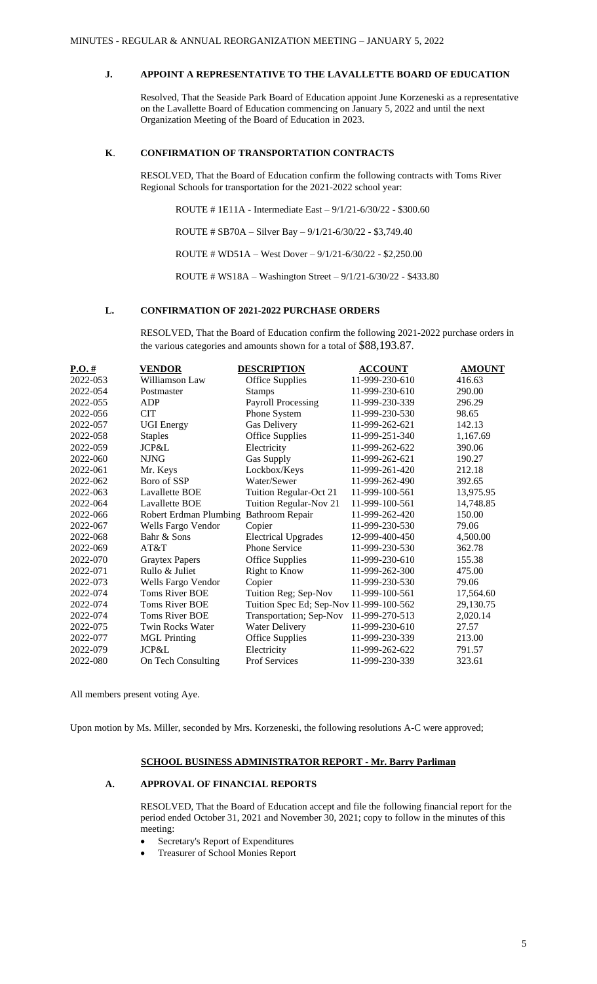# **J. APPOINT A REPRESENTATIVE TO THE LAVALLETTE BOARD OF EDUCATION**

Resolved, That the Seaside Park Board of Education appoint June Korzeneski as a representative on the Lavallette Board of Education commencing on January 5, 2022 and until the next Organization Meeting of the Board of Education in 2023.

## **K**. **CONFIRMATION OF TRANSPORTATION CONTRACTS**

RESOLVED, That the Board of Education confirm the following contracts with Toms River Regional Schools for transportation for the 2021-2022 school year:

ROUTE # 1E11A - Intermediate East – 9/1/21-6/30/22 - \$300.60

ROUTE # SB70A – Silver Bay – 9/1/21-6/30/22 - \$3,749.40

ROUTE # WD51A – West Dover – 9/1/21-6/30/22 - \$2,250.00

ROUTE # WS18A – Washington Street – 9/1/21-6/30/22 - \$433.80

## **L. CONFIRMATION OF 2021-2022 PURCHASE ORDERS**

RESOLVED, That the Board of Education confirm the following 2021-2022 purchase orders in the various categories and amounts shown for a total of \$88,193.87.

| $P.O.$ # | <b>VENDOR</b>                 | <b>DESCRIPTION</b>                      | <b>ACCOUNT</b> | <b>AMOUNT</b> |
|----------|-------------------------------|-----------------------------------------|----------------|---------------|
| 2022-053 | Williamson Law                | <b>Office Supplies</b>                  | 11-999-230-610 | 416.63        |
| 2022-054 | Postmaster                    | <b>Stamps</b>                           | 11-999-230-610 | 290.00        |
| 2022-055 | <b>ADP</b>                    | <b>Payroll Processing</b>               | 11-999-230-339 | 296.29        |
| 2022-056 | <b>CIT</b>                    | Phone System                            | 11-999-230-530 | 98.65         |
| 2022-057 | <b>UGI</b> Energy             | Gas Delivery                            | 11-999-262-621 | 142.13        |
| 2022-058 | <b>Staples</b>                | <b>Office Supplies</b>                  | 11-999-251-340 | 1.167.69      |
| 2022-059 | <b>JCP&amp;L</b>              | Electricity                             | 11-999-262-622 | 390.06        |
| 2022-060 | <b>NJNG</b>                   | <b>Gas Supply</b>                       | 11-999-262-621 | 190.27        |
| 2022-061 | Mr. Keys                      | Lockbox/Keys                            | 11-999-261-420 | 212.18        |
| 2022-062 | Boro of SSP                   | Water/Sewer                             | 11-999-262-490 | 392.65        |
| 2022-063 | <b>Lavallette BOE</b>         | Tuition Regular-Oct 21                  | 11-999-100-561 | 13,975.95     |
| 2022-064 | <b>Lavallette BOE</b>         | Tuition Regular-Nov 21                  | 11-999-100-561 | 14,748.85     |
| 2022-066 | <b>Robert Erdman Plumbing</b> | <b>Bathroom Repair</b>                  | 11-999-262-420 | 150.00        |
| 2022-067 | Wells Fargo Vendor            | Copier                                  | 11-999-230-530 | 79.06         |
| 2022-068 | Bahr & Sons                   | <b>Electrical Upgrades</b>              | 12-999-400-450 | 4,500.00      |
| 2022-069 | AT&T                          | <b>Phone Service</b>                    | 11-999-230-530 | 362.78        |
| 2022-070 | <b>Graytex Papers</b>         | <b>Office Supplies</b>                  | 11-999-230-610 | 155.38        |
| 2022-071 | Rullo & Juliet                | <b>Right to Know</b>                    | 11-999-262-300 | 475.00        |
| 2022-073 | Wells Fargo Vendor            | Copier                                  | 11-999-230-530 | 79.06         |
| 2022-074 | <b>Toms River BOE</b>         | Tuition Reg; Sep-Nov                    | 11-999-100-561 | 17,564.60     |
| 2022-074 | <b>Toms River BOE</b>         | Tuition Spec Ed; Sep-Nov 11-999-100-562 |                | 29,130.75     |
| 2022-074 | <b>Toms River BOE</b>         | Transportation; Sep-Nov                 | 11-999-270-513 | 2,020.14      |
| 2022-075 | Twin Rocks Water              | <b>Water Delivery</b>                   | 11-999-230-610 | 27.57         |
| 2022-077 | <b>MGL Printing</b>           | <b>Office Supplies</b>                  | 11-999-230-339 | 213.00        |
| 2022-079 | <b>JCP&amp;L</b>              | Electricity                             | 11-999-262-622 | 791.57        |
| 2022-080 | On Tech Consulting            | <b>Prof Services</b>                    | 11-999-230-339 | 323.61        |

All members present voting Aye.

Upon motion by Ms. Miller, seconded by Mrs. Korzeneski, the following resolutions A-C were approved;

## **SCHOOL BUSINESS ADMINISTRATOR REPORT - Mr. Barry Parliman**

#### **A. APPROVAL OF FINANCIAL REPORTS**

RESOLVED, That the Board of Education accept and file the following financial report for the period ended October 31, 2021 and November 30, 2021; copy to follow in the minutes of this meeting:

- Secretary's Report of Expenditures
- Treasurer of School Monies Report